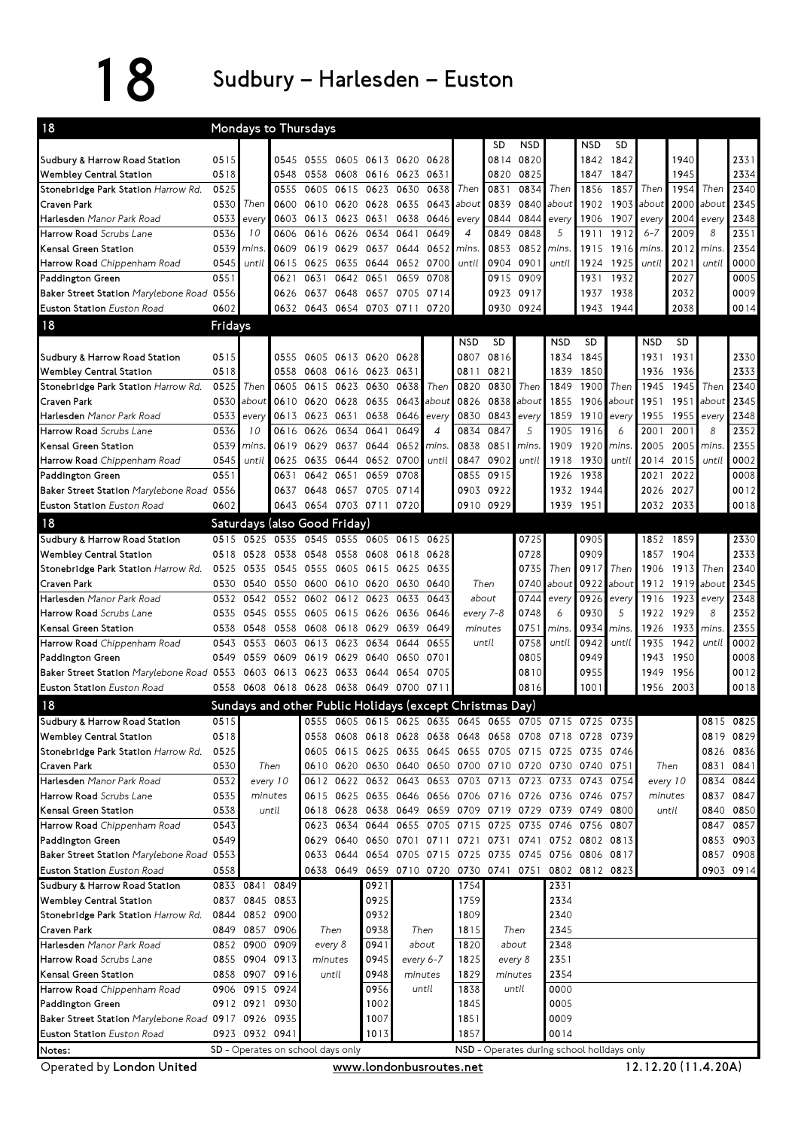## 18 Sudbury – Harlesden – Euston

| <b>NSD</b><br>NSD<br><b>SD</b><br><b>SD</b><br>0515<br>2331<br>0545 0555<br>0605 0613 0620<br>0820<br>1940<br>0628<br>0814<br>1842<br>1842<br>2334<br>0518<br>0548<br>0558<br>0608 0616 0623<br>0820<br>0825<br>1847<br>1847<br>1945<br>0631<br>0525<br>0605<br>0615<br>0834<br>1857<br>1954<br>Then<br>2340<br>0555<br>0623<br>0630<br>0638<br>Then<br>0831<br>Then<br>1856<br>Then<br>2345<br>0530<br>2000<br>Then<br>0600<br>0610<br>0620<br>0628<br>0635<br>0643<br>0839<br>0840<br>1902<br>1903<br>about<br>about<br>about<br>about<br>Harlesden Manor Park Road<br>2004<br>2348<br>0533<br>0603<br>0613<br>0623<br>0638<br>0646<br>0844<br>0844<br>1906<br>1907<br>every<br>0631<br>every<br>every<br>every<br>every<br>Harrow Road Scrubs Lane<br>0849<br>5<br>1912<br>2351<br>0536<br>0606<br>0616<br>0649<br>$\overline{4}$<br>0848<br>1911<br>$6 - 7$<br>2009<br>8<br>10<br>0626<br>0634<br>0641<br>2354<br>0539<br>0853<br>2012<br>mins<br>0609<br>0619 0629<br>0637<br>0644<br>0652<br>mins.<br>0852<br>mins.<br>1915<br>1916<br>mins<br>mins<br>0000<br>0545<br>0901<br>2021<br>until<br>0615<br>0625<br>0635<br>0644 0652<br>0700<br>until<br>0904<br>until<br>1924<br>1925<br>until<br>until<br>0005<br>Paddington Green<br>0551<br>1932<br>2027<br>0631<br>0642 0651<br>0659<br>0708<br>0915<br>0909<br>1931<br>0621<br>0009<br>0648 0657<br>0917<br>2032<br>Baker Street Station Marylebone Road 0556<br>0626<br>0637<br>0705<br>0714<br>0923<br>1937<br>1938<br>Euston Station Euston Road<br>0602<br>0632 0643 0654 0703 0711<br>0930<br>0924<br>1944<br>2038<br>0014<br>0720<br>1943<br>Fridays<br><b>NSD</b><br><b>SD</b><br><b>NSD</b><br><b>SD</b><br><b>NSD</b><br><b>SD</b><br>Sudbury & Harrow Road Station<br>2330<br>0515<br>0555<br>0807<br>0816<br>1845<br>1931<br>0605<br>0613 0620 0628<br>1834<br>1931<br>Wembley Central Station<br>2333<br>0518<br>0821<br>1850<br>0558 0608<br>0616 0623<br>0631<br>0811<br>1839<br>1936<br>1936<br>Stonebridge Park Station Harrow Rd.<br>2340<br>0525<br>0615<br>0820<br>0830<br>1849<br>1900<br>1945<br>1945<br>Then<br>0605<br>0623<br>0630<br>0638<br>Then<br>Then<br>Then<br>Then<br><b>Craven Park</b><br>2345<br>0838<br>about<br>aboui<br>0530<br>about<br>0610<br>0620<br>0628 0635<br>0643<br>about<br>0826<br>1855<br>1906<br>about<br>1951<br>1951<br>0843<br>2348<br>0533<br>0613<br>0623<br>0631<br>0638 0646<br>0830<br>1859<br>1910<br>1955<br>1955<br>every<br>every<br>every<br>every<br>every<br>0847<br>5<br>8<br>2352<br>0536<br>10<br>0626<br>0634<br>0641<br>0649<br>0834<br>1905<br>1916<br>6<br>2001<br>0616<br>4<br>2001<br>2355<br>0851<br>0539<br>mins.<br>0619<br>0629<br>0637<br>0644<br>0652<br>mins.<br>0838<br>mins.<br>1909<br>1920<br>mins.<br>2005<br>2005<br>mins.<br>Harrow Road Chippenham Road<br>0002<br>0545<br>0644 0652 0700<br>0847<br>0902<br>1918<br>1930<br>2015<br>until<br>until<br>0625<br>0635<br>until<br>until<br>until<br>2014<br>Paddington Green<br>0008<br>0551<br>0855<br>0915<br>1938<br>2022<br>0631<br>0642<br>0651<br>0659<br>0708<br>1926<br>2021<br>0012<br>Baker Street Station Marylebone Road 0556<br>0922<br>0637<br>0648<br>0657 0705 0714<br>0903<br>1932<br>1944<br>2026<br>2027<br>Euston Station Euston Road<br>0018<br>0602<br>0643<br>0654 0703 0711 0720<br>0910<br>0929<br>1939<br>1951<br>2033<br>2032<br>Saturdays (also Good Friday)<br>Sudbury & Harrow Road Station<br>0525<br>0555 0605 0615<br>0725<br>0905<br>2330<br>0515<br>0535<br>0545<br>0625<br>1852<br>1859<br>2333<br>0728<br>0909<br>1857<br>0518<br>0528<br>0538 0548<br>0558 0608<br>0618<br>0628<br>1904<br>0735<br>0917<br>Then<br>2340<br>0525<br>0535<br>0545<br>0555<br>0605<br>0615<br>0625<br>0635<br>Then<br>1906<br>1913<br>Then<br>0922<br>2345<br>0600<br>0610 0620<br>Then<br>0740<br>about<br>about<br>1912<br>1919<br>0530<br>0540<br>0550<br>0630<br>0640<br>about<br>0643<br>0744<br>2348<br>0532<br>0542<br>0552<br>0602<br>0612 0623<br>0633<br>about<br>0926<br>1916<br>1923<br>every<br>every<br>every<br>0748<br>0930<br>5<br>8<br>2352<br>every 7-8<br>6<br>1922<br>1929<br>0535<br>0545<br>0555<br>0605<br>0615 0626<br>0636<br>0646<br>Kensal Green Station<br>0649<br>0751<br>0934<br>1933<br>2355<br>0538<br>0548<br>0558<br>0608<br>0618 0629<br>0639<br>minutes<br>mins.<br>1926<br>mins.<br>mins.<br>Harrow Road Chippenham Road<br>0002<br>0758<br>0942<br>0655<br>until<br>until<br>1935<br>1942<br>until<br>0543<br>0553<br>0603<br>0613<br>0623<br>0634<br>0644<br>until<br>0008<br>Paddington Green<br>0805<br>0949<br>1943<br>1950<br>0549<br>0559<br>0609<br>0619<br>0629<br>0640<br>0650<br>0701<br>0955<br>0623<br>0654<br>0810<br>1949<br>1956<br>0012<br>Baker Street Station Marylebone Road 0553<br>0603<br>0613<br>0633<br>0644<br>0705<br>Euston Station Euston Road<br>0558<br>0608 0618 0628 0638 0649 0700 0711<br>0816<br>1001<br>1956 2003<br>0018<br>18<br>Sundays and other Public Holidays (except Christmas Day)<br>Sudbury & Harrow Road Station<br>0515<br>0605 0615 0625<br>0635 0645<br>0705 0715 0725<br>0735<br>0815 0825<br>0555<br>0655<br><b>Wembley Central Station</b><br>0518<br>0558<br>0638 0648<br>0819 0829<br>0608<br>0618 0628<br>0658 0708 0718 0728<br>0739<br>Stonebridge Park Station Harrow Rd.<br>0525<br>0605<br>0615 0625 0635 0645 0655 0705 0715 0725 0735 0746<br>0826 0836<br>Craven Park<br>0530<br>Then<br>0610<br>0620 0630 0640 0650 0700 0710 0720 0730 0740 0751<br>Then<br>0831<br>0841<br>Harlesden Manor Park Road<br>0532<br>0622 0632 0643 0653 0703 0713 0723 0733 0743 0754<br>0834<br>0844<br>every 10<br>0612<br>every 10<br>Harrow Road Scrubs Lane<br>0535<br>minutes<br>0615<br>0625 0635 0646 0656 0706 0716 0726 0736 0746 0757<br>minutes<br>0837 0847<br>Kensal Green Station<br>0538<br>until<br>0628 0638 0649 0659 0709 0719 0729 0739 0749 0800<br>until<br>0840 0850<br>0618<br>0543<br>0634<br>0644 0655 0705 0715<br>0857<br>Harrow Road Chippenham Road<br>0623<br>0725 0735<br>0746 0756 0807<br>0847<br>0549<br>0629<br>0640 0650 0701 0711 0721 0731 0741 0752 0802 0813<br>0853 0903<br>Paddington Green<br>0715 0725 0735 0745 0756 0806 0817<br>0908<br>Baker Street Station Marylebone Road 0553<br>0633<br>0644 0654 0705<br>0857<br>Euston Station Euston Road<br>0558<br>0649 0659 0710 0720 0730 0741 0751<br>0802 0812 0823<br>0903 0914<br>0638<br>Sudbury & Harrow Road Station<br>0849<br>2331<br>0833 0841<br>0921<br>1754<br><b>Wembley Central Station</b><br>0837 0845 0853<br>0925<br>2334<br>1759<br>0932<br>Stonebridge Park Station Harrow Rd.<br>0852 0900<br>1809<br>2340<br>0844<br>0938<br>Then<br>2345<br>0849 0857 0906<br>Then<br>Then<br>1815<br>Craven Park<br>Harlesden Manor Park Road<br>0941<br>about<br>2348<br>0852 0900 0909<br>every 8<br>about<br>1820<br>Harrow Road Scrubs Lane<br>every 6-7<br>2351<br>0855 0904 0913<br>0945<br>1825<br>every 8<br>minutes<br>0858 0907 0916<br>until<br>0948<br>minutes<br>2354<br>1829<br>minutes<br>Harrow Road Chippenham Road<br>0956<br>0906 0915 0924<br>1838<br>0000<br>until<br>until<br>1002<br>0005<br>1845<br>0912 0921 0930<br>Baker Street Station Marylebone Road 0917 0926 0935<br>1007<br>1851<br>0009<br>0923 0932 0941<br>1013<br>1857<br>0014 | 18                                  | Mondays to Thursdays              |  |  |  |  |  |  |  |  |                                            |  |  |  |  |  |  |  |  |  |
|---------------------------------------------------------------------------------------------------------------------------------------------------------------------------------------------------------------------------------------------------------------------------------------------------------------------------------------------------------------------------------------------------------------------------------------------------------------------------------------------------------------------------------------------------------------------------------------------------------------------------------------------------------------------------------------------------------------------------------------------------------------------------------------------------------------------------------------------------------------------------------------------------------------------------------------------------------------------------------------------------------------------------------------------------------------------------------------------------------------------------------------------------------------------------------------------------------------------------------------------------------------------------------------------------------------------------------------------------------------------------------------------------------------------------------------------------------------------------------------------------------------------------------------------------------------------------------------------------------------------------------------------------------------------------------------------------------------------------------------------------------------------------------------------------------------------------------------------------------------------------------------------------------------------------------------------------------------------------------------------------------------------------------------------------------------------------------------------------------------------------------------------------------------------------------------------------------------------------------------------------------------------------------------------------------------------------------------------------------------------------------------------------------------------------------------------------------------------------------------------------------------------------------------------------------------------------------------------------------------------------------------------------------------------------------------------------------------------------------------------------------------------------------------------------------------------------------------------------------------------------------------------------------------------------------------------------------------------------------------------------------------------------------------------------------------------------------------------------------------------------------------------------------------------------------------------------------------------------------------------------------------------------------------------------------------------------------------------------------------------------------------------------------------------------------------------------------------------------------------------------------------------------------------------------------------------------------------------------------------------------------------------------------------------------------------------------------------------------------------------------------------------------------------------------------------------------------------------------------------------------------------------------------------------------------------------------------------------------------------------------------------------------------------------------------------------------------------------------------------------------------------------------------------------------------------------------------------------------------------------------------------------------------------------------------------------------------------------------------------------------------------------------------------------------------------------------------------------------------------------------------------------------------------------------------------------------------------------------------------------------------------------------------------------------------------------------------------------------------------------------------------------------------------------------------------------------------------------------------------------------------------------------------------------------------------------------------------------------------------------------------------------------------------------------------------------------------------------------------------------------------------------------------------------------------------------------------------------------------------------------------------------------------------------------------------------------------------------------------------------------------------------------------------------------------------------------------------------------------------------------------------------------------------------------------------------------------------------------------------------------------------------------------------------------------------------------------------------------------------------------------------------------------------------------------------------------------------------------------------------------------------------------------------------------------------------------------------------------------------------------------------------------------------------------------------------------------------------------------------------------------------------------------------------------------------------------------------------------------------------------------------------------------------------------------------------------------------------------------------------------------------------------------------------------------------------------------------------------------------------------------------------------------------------------------------------------------------------------------------------------------------------------------------------------------------------------------------------------------------------------------------------------------------------------------------------------------------------------------------------------------------------------------------------------------------------------------------------------------------------------------------------------------------------------------------------------------------------------------------------------------------------------------------------------------------------------------------------------------------------------------------------------------------|-------------------------------------|-----------------------------------|--|--|--|--|--|--|--|--|--------------------------------------------|--|--|--|--|--|--|--|--|--|
|                                                                                                                                                                                                                                                                                                                                                                                                                                                                                                                                                                                                                                                                                                                                                                                                                                                                                                                                                                                                                                                                                                                                                                                                                                                                                                                                                                                                                                                                                                                                                                                                                                                                                                                                                                                                                                                                                                                                                                                                                                                                                                                                                                                                                                                                                                                                                                                                                                                                                                                                                                                                                                                                                                                                                                                                                                                                                                                                                                                                                                                                                                                                                                                                                                                                                                                                                                                                                                                                                                                                                                                                                                                                                                                                                                                                                                                                                                                                                                                                                                                                                                                                                                                                                                                                                                                                                                                                                                                                                                                                                                                                                                                                                                                                                                                                                                                                                                                                                                                                                                                                                                                                                                                                                                                                                                                                                                                                                                                                                                                                                                                                                                                                                                                                                                                                                                                                                                                                                                                                                                                                                                                                                                                                                                                                                                                                                                                                                                                                                                                                                                                                                                                                                                                                                                                                                                                                                                                                                                                                                                                                                                                                                                                                                                                                                       |                                     |                                   |  |  |  |  |  |  |  |  |                                            |  |  |  |  |  |  |  |  |  |
|                                                                                                                                                                                                                                                                                                                                                                                                                                                                                                                                                                                                                                                                                                                                                                                                                                                                                                                                                                                                                                                                                                                                                                                                                                                                                                                                                                                                                                                                                                                                                                                                                                                                                                                                                                                                                                                                                                                                                                                                                                                                                                                                                                                                                                                                                                                                                                                                                                                                                                                                                                                                                                                                                                                                                                                                                                                                                                                                                                                                                                                                                                                                                                                                                                                                                                                                                                                                                                                                                                                                                                                                                                                                                                                                                                                                                                                                                                                                                                                                                                                                                                                                                                                                                                                                                                                                                                                                                                                                                                                                                                                                                                                                                                                                                                                                                                                                                                                                                                                                                                                                                                                                                                                                                                                                                                                                                                                                                                                                                                                                                                                                                                                                                                                                                                                                                                                                                                                                                                                                                                                                                                                                                                                                                                                                                                                                                                                                                                                                                                                                                                                                                                                                                                                                                                                                                                                                                                                                                                                                                                                                                                                                                                                                                                                                                       | Sudbury & Harrow Road Station       |                                   |  |  |  |  |  |  |  |  |                                            |  |  |  |  |  |  |  |  |  |
|                                                                                                                                                                                                                                                                                                                                                                                                                                                                                                                                                                                                                                                                                                                                                                                                                                                                                                                                                                                                                                                                                                                                                                                                                                                                                                                                                                                                                                                                                                                                                                                                                                                                                                                                                                                                                                                                                                                                                                                                                                                                                                                                                                                                                                                                                                                                                                                                                                                                                                                                                                                                                                                                                                                                                                                                                                                                                                                                                                                                                                                                                                                                                                                                                                                                                                                                                                                                                                                                                                                                                                                                                                                                                                                                                                                                                                                                                                                                                                                                                                                                                                                                                                                                                                                                                                                                                                                                                                                                                                                                                                                                                                                                                                                                                                                                                                                                                                                                                                                                                                                                                                                                                                                                                                                                                                                                                                                                                                                                                                                                                                                                                                                                                                                                                                                                                                                                                                                                                                                                                                                                                                                                                                                                                                                                                                                                                                                                                                                                                                                                                                                                                                                                                                                                                                                                                                                                                                                                                                                                                                                                                                                                                                                                                                                                                       | Wembley Central Station             |                                   |  |  |  |  |  |  |  |  |                                            |  |  |  |  |  |  |  |  |  |
|                                                                                                                                                                                                                                                                                                                                                                                                                                                                                                                                                                                                                                                                                                                                                                                                                                                                                                                                                                                                                                                                                                                                                                                                                                                                                                                                                                                                                                                                                                                                                                                                                                                                                                                                                                                                                                                                                                                                                                                                                                                                                                                                                                                                                                                                                                                                                                                                                                                                                                                                                                                                                                                                                                                                                                                                                                                                                                                                                                                                                                                                                                                                                                                                                                                                                                                                                                                                                                                                                                                                                                                                                                                                                                                                                                                                                                                                                                                                                                                                                                                                                                                                                                                                                                                                                                                                                                                                                                                                                                                                                                                                                                                                                                                                                                                                                                                                                                                                                                                                                                                                                                                                                                                                                                                                                                                                                                                                                                                                                                                                                                                                                                                                                                                                                                                                                                                                                                                                                                                                                                                                                                                                                                                                                                                                                                                                                                                                                                                                                                                                                                                                                                                                                                                                                                                                                                                                                                                                                                                                                                                                                                                                                                                                                                                                                       | Stonebridge Park Station Harrow Rd. |                                   |  |  |  |  |  |  |  |  |                                            |  |  |  |  |  |  |  |  |  |
|                                                                                                                                                                                                                                                                                                                                                                                                                                                                                                                                                                                                                                                                                                                                                                                                                                                                                                                                                                                                                                                                                                                                                                                                                                                                                                                                                                                                                                                                                                                                                                                                                                                                                                                                                                                                                                                                                                                                                                                                                                                                                                                                                                                                                                                                                                                                                                                                                                                                                                                                                                                                                                                                                                                                                                                                                                                                                                                                                                                                                                                                                                                                                                                                                                                                                                                                                                                                                                                                                                                                                                                                                                                                                                                                                                                                                                                                                                                                                                                                                                                                                                                                                                                                                                                                                                                                                                                                                                                                                                                                                                                                                                                                                                                                                                                                                                                                                                                                                                                                                                                                                                                                                                                                                                                                                                                                                                                                                                                                                                                                                                                                                                                                                                                                                                                                                                                                                                                                                                                                                                                                                                                                                                                                                                                                                                                                                                                                                                                                                                                                                                                                                                                                                                                                                                                                                                                                                                                                                                                                                                                                                                                                                                                                                                                                                       | Craven Park                         |                                   |  |  |  |  |  |  |  |  |                                            |  |  |  |  |  |  |  |  |  |
|                                                                                                                                                                                                                                                                                                                                                                                                                                                                                                                                                                                                                                                                                                                                                                                                                                                                                                                                                                                                                                                                                                                                                                                                                                                                                                                                                                                                                                                                                                                                                                                                                                                                                                                                                                                                                                                                                                                                                                                                                                                                                                                                                                                                                                                                                                                                                                                                                                                                                                                                                                                                                                                                                                                                                                                                                                                                                                                                                                                                                                                                                                                                                                                                                                                                                                                                                                                                                                                                                                                                                                                                                                                                                                                                                                                                                                                                                                                                                                                                                                                                                                                                                                                                                                                                                                                                                                                                                                                                                                                                                                                                                                                                                                                                                                                                                                                                                                                                                                                                                                                                                                                                                                                                                                                                                                                                                                                                                                                                                                                                                                                                                                                                                                                                                                                                                                                                                                                                                                                                                                                                                                                                                                                                                                                                                                                                                                                                                                                                                                                                                                                                                                                                                                                                                                                                                                                                                                                                                                                                                                                                                                                                                                                                                                                                                       |                                     |                                   |  |  |  |  |  |  |  |  |                                            |  |  |  |  |  |  |  |  |  |
|                                                                                                                                                                                                                                                                                                                                                                                                                                                                                                                                                                                                                                                                                                                                                                                                                                                                                                                                                                                                                                                                                                                                                                                                                                                                                                                                                                                                                                                                                                                                                                                                                                                                                                                                                                                                                                                                                                                                                                                                                                                                                                                                                                                                                                                                                                                                                                                                                                                                                                                                                                                                                                                                                                                                                                                                                                                                                                                                                                                                                                                                                                                                                                                                                                                                                                                                                                                                                                                                                                                                                                                                                                                                                                                                                                                                                                                                                                                                                                                                                                                                                                                                                                                                                                                                                                                                                                                                                                                                                                                                                                                                                                                                                                                                                                                                                                                                                                                                                                                                                                                                                                                                                                                                                                                                                                                                                                                                                                                                                                                                                                                                                                                                                                                                                                                                                                                                                                                                                                                                                                                                                                                                                                                                                                                                                                                                                                                                                                                                                                                                                                                                                                                                                                                                                                                                                                                                                                                                                                                                                                                                                                                                                                                                                                                                                       |                                     |                                   |  |  |  |  |  |  |  |  |                                            |  |  |  |  |  |  |  |  |  |
|                                                                                                                                                                                                                                                                                                                                                                                                                                                                                                                                                                                                                                                                                                                                                                                                                                                                                                                                                                                                                                                                                                                                                                                                                                                                                                                                                                                                                                                                                                                                                                                                                                                                                                                                                                                                                                                                                                                                                                                                                                                                                                                                                                                                                                                                                                                                                                                                                                                                                                                                                                                                                                                                                                                                                                                                                                                                                                                                                                                                                                                                                                                                                                                                                                                                                                                                                                                                                                                                                                                                                                                                                                                                                                                                                                                                                                                                                                                                                                                                                                                                                                                                                                                                                                                                                                                                                                                                                                                                                                                                                                                                                                                                                                                                                                                                                                                                                                                                                                                                                                                                                                                                                                                                                                                                                                                                                                                                                                                                                                                                                                                                                                                                                                                                                                                                                                                                                                                                                                                                                                                                                                                                                                                                                                                                                                                                                                                                                                                                                                                                                                                                                                                                                                                                                                                                                                                                                                                                                                                                                                                                                                                                                                                                                                                                                       | Kensal Green Station                |                                   |  |  |  |  |  |  |  |  |                                            |  |  |  |  |  |  |  |  |  |
|                                                                                                                                                                                                                                                                                                                                                                                                                                                                                                                                                                                                                                                                                                                                                                                                                                                                                                                                                                                                                                                                                                                                                                                                                                                                                                                                                                                                                                                                                                                                                                                                                                                                                                                                                                                                                                                                                                                                                                                                                                                                                                                                                                                                                                                                                                                                                                                                                                                                                                                                                                                                                                                                                                                                                                                                                                                                                                                                                                                                                                                                                                                                                                                                                                                                                                                                                                                                                                                                                                                                                                                                                                                                                                                                                                                                                                                                                                                                                                                                                                                                                                                                                                                                                                                                                                                                                                                                                                                                                                                                                                                                                                                                                                                                                                                                                                                                                                                                                                                                                                                                                                                                                                                                                                                                                                                                                                                                                                                                                                                                                                                                                                                                                                                                                                                                                                                                                                                                                                                                                                                                                                                                                                                                                                                                                                                                                                                                                                                                                                                                                                                                                                                                                                                                                                                                                                                                                                                                                                                                                                                                                                                                                                                                                                                                                       | Harrow Road Chippenham Road         |                                   |  |  |  |  |  |  |  |  |                                            |  |  |  |  |  |  |  |  |  |
|                                                                                                                                                                                                                                                                                                                                                                                                                                                                                                                                                                                                                                                                                                                                                                                                                                                                                                                                                                                                                                                                                                                                                                                                                                                                                                                                                                                                                                                                                                                                                                                                                                                                                                                                                                                                                                                                                                                                                                                                                                                                                                                                                                                                                                                                                                                                                                                                                                                                                                                                                                                                                                                                                                                                                                                                                                                                                                                                                                                                                                                                                                                                                                                                                                                                                                                                                                                                                                                                                                                                                                                                                                                                                                                                                                                                                                                                                                                                                                                                                                                                                                                                                                                                                                                                                                                                                                                                                                                                                                                                                                                                                                                                                                                                                                                                                                                                                                                                                                                                                                                                                                                                                                                                                                                                                                                                                                                                                                                                                                                                                                                                                                                                                                                                                                                                                                                                                                                                                                                                                                                                                                                                                                                                                                                                                                                                                                                                                                                                                                                                                                                                                                                                                                                                                                                                                                                                                                                                                                                                                                                                                                                                                                                                                                                                                       |                                     |                                   |  |  |  |  |  |  |  |  |                                            |  |  |  |  |  |  |  |  |  |
|                                                                                                                                                                                                                                                                                                                                                                                                                                                                                                                                                                                                                                                                                                                                                                                                                                                                                                                                                                                                                                                                                                                                                                                                                                                                                                                                                                                                                                                                                                                                                                                                                                                                                                                                                                                                                                                                                                                                                                                                                                                                                                                                                                                                                                                                                                                                                                                                                                                                                                                                                                                                                                                                                                                                                                                                                                                                                                                                                                                                                                                                                                                                                                                                                                                                                                                                                                                                                                                                                                                                                                                                                                                                                                                                                                                                                                                                                                                                                                                                                                                                                                                                                                                                                                                                                                                                                                                                                                                                                                                                                                                                                                                                                                                                                                                                                                                                                                                                                                                                                                                                                                                                                                                                                                                                                                                                                                                                                                                                                                                                                                                                                                                                                                                                                                                                                                                                                                                                                                                                                                                                                                                                                                                                                                                                                                                                                                                                                                                                                                                                                                                                                                                                                                                                                                                                                                                                                                                                                                                                                                                                                                                                                                                                                                                                                       |                                     |                                   |  |  |  |  |  |  |  |  |                                            |  |  |  |  |  |  |  |  |  |
|                                                                                                                                                                                                                                                                                                                                                                                                                                                                                                                                                                                                                                                                                                                                                                                                                                                                                                                                                                                                                                                                                                                                                                                                                                                                                                                                                                                                                                                                                                                                                                                                                                                                                                                                                                                                                                                                                                                                                                                                                                                                                                                                                                                                                                                                                                                                                                                                                                                                                                                                                                                                                                                                                                                                                                                                                                                                                                                                                                                                                                                                                                                                                                                                                                                                                                                                                                                                                                                                                                                                                                                                                                                                                                                                                                                                                                                                                                                                                                                                                                                                                                                                                                                                                                                                                                                                                                                                                                                                                                                                                                                                                                                                                                                                                                                                                                                                                                                                                                                                                                                                                                                                                                                                                                                                                                                                                                                                                                                                                                                                                                                                                                                                                                                                                                                                                                                                                                                                                                                                                                                                                                                                                                                                                                                                                                                                                                                                                                                                                                                                                                                                                                                                                                                                                                                                                                                                                                                                                                                                                                                                                                                                                                                                                                                                                       |                                     |                                   |  |  |  |  |  |  |  |  |                                            |  |  |  |  |  |  |  |  |  |
|                                                                                                                                                                                                                                                                                                                                                                                                                                                                                                                                                                                                                                                                                                                                                                                                                                                                                                                                                                                                                                                                                                                                                                                                                                                                                                                                                                                                                                                                                                                                                                                                                                                                                                                                                                                                                                                                                                                                                                                                                                                                                                                                                                                                                                                                                                                                                                                                                                                                                                                                                                                                                                                                                                                                                                                                                                                                                                                                                                                                                                                                                                                                                                                                                                                                                                                                                                                                                                                                                                                                                                                                                                                                                                                                                                                                                                                                                                                                                                                                                                                                                                                                                                                                                                                                                                                                                                                                                                                                                                                                                                                                                                                                                                                                                                                                                                                                                                                                                                                                                                                                                                                                                                                                                                                                                                                                                                                                                                                                                                                                                                                                                                                                                                                                                                                                                                                                                                                                                                                                                                                                                                                                                                                                                                                                                                                                                                                                                                                                                                                                                                                                                                                                                                                                                                                                                                                                                                                                                                                                                                                                                                                                                                                                                                                                                       | 18                                  |                                   |  |  |  |  |  |  |  |  |                                            |  |  |  |  |  |  |  |  |  |
|                                                                                                                                                                                                                                                                                                                                                                                                                                                                                                                                                                                                                                                                                                                                                                                                                                                                                                                                                                                                                                                                                                                                                                                                                                                                                                                                                                                                                                                                                                                                                                                                                                                                                                                                                                                                                                                                                                                                                                                                                                                                                                                                                                                                                                                                                                                                                                                                                                                                                                                                                                                                                                                                                                                                                                                                                                                                                                                                                                                                                                                                                                                                                                                                                                                                                                                                                                                                                                                                                                                                                                                                                                                                                                                                                                                                                                                                                                                                                                                                                                                                                                                                                                                                                                                                                                                                                                                                                                                                                                                                                                                                                                                                                                                                                                                                                                                                                                                                                                                                                                                                                                                                                                                                                                                                                                                                                                                                                                                                                                                                                                                                                                                                                                                                                                                                                                                                                                                                                                                                                                                                                                                                                                                                                                                                                                                                                                                                                                                                                                                                                                                                                                                                                                                                                                                                                                                                                                                                                                                                                                                                                                                                                                                                                                                                                       |                                     |                                   |  |  |  |  |  |  |  |  |                                            |  |  |  |  |  |  |  |  |  |
|                                                                                                                                                                                                                                                                                                                                                                                                                                                                                                                                                                                                                                                                                                                                                                                                                                                                                                                                                                                                                                                                                                                                                                                                                                                                                                                                                                                                                                                                                                                                                                                                                                                                                                                                                                                                                                                                                                                                                                                                                                                                                                                                                                                                                                                                                                                                                                                                                                                                                                                                                                                                                                                                                                                                                                                                                                                                                                                                                                                                                                                                                                                                                                                                                                                                                                                                                                                                                                                                                                                                                                                                                                                                                                                                                                                                                                                                                                                                                                                                                                                                                                                                                                                                                                                                                                                                                                                                                                                                                                                                                                                                                                                                                                                                                                                                                                                                                                                                                                                                                                                                                                                                                                                                                                                                                                                                                                                                                                                                                                                                                                                                                                                                                                                                                                                                                                                                                                                                                                                                                                                                                                                                                                                                                                                                                                                                                                                                                                                                                                                                                                                                                                                                                                                                                                                                                                                                                                                                                                                                                                                                                                                                                                                                                                                                                       |                                     |                                   |  |  |  |  |  |  |  |  |                                            |  |  |  |  |  |  |  |  |  |
|                                                                                                                                                                                                                                                                                                                                                                                                                                                                                                                                                                                                                                                                                                                                                                                                                                                                                                                                                                                                                                                                                                                                                                                                                                                                                                                                                                                                                                                                                                                                                                                                                                                                                                                                                                                                                                                                                                                                                                                                                                                                                                                                                                                                                                                                                                                                                                                                                                                                                                                                                                                                                                                                                                                                                                                                                                                                                                                                                                                                                                                                                                                                                                                                                                                                                                                                                                                                                                                                                                                                                                                                                                                                                                                                                                                                                                                                                                                                                                                                                                                                                                                                                                                                                                                                                                                                                                                                                                                                                                                                                                                                                                                                                                                                                                                                                                                                                                                                                                                                                                                                                                                                                                                                                                                                                                                                                                                                                                                                                                                                                                                                                                                                                                                                                                                                                                                                                                                                                                                                                                                                                                                                                                                                                                                                                                                                                                                                                                                                                                                                                                                                                                                                                                                                                                                                                                                                                                                                                                                                                                                                                                                                                                                                                                                                                       |                                     |                                   |  |  |  |  |  |  |  |  |                                            |  |  |  |  |  |  |  |  |  |
|                                                                                                                                                                                                                                                                                                                                                                                                                                                                                                                                                                                                                                                                                                                                                                                                                                                                                                                                                                                                                                                                                                                                                                                                                                                                                                                                                                                                                                                                                                                                                                                                                                                                                                                                                                                                                                                                                                                                                                                                                                                                                                                                                                                                                                                                                                                                                                                                                                                                                                                                                                                                                                                                                                                                                                                                                                                                                                                                                                                                                                                                                                                                                                                                                                                                                                                                                                                                                                                                                                                                                                                                                                                                                                                                                                                                                                                                                                                                                                                                                                                                                                                                                                                                                                                                                                                                                                                                                                                                                                                                                                                                                                                                                                                                                                                                                                                                                                                                                                                                                                                                                                                                                                                                                                                                                                                                                                                                                                                                                                                                                                                                                                                                                                                                                                                                                                                                                                                                                                                                                                                                                                                                                                                                                                                                                                                                                                                                                                                                                                                                                                                                                                                                                                                                                                                                                                                                                                                                                                                                                                                                                                                                                                                                                                                                                       |                                     |                                   |  |  |  |  |  |  |  |  |                                            |  |  |  |  |  |  |  |  |  |
|                                                                                                                                                                                                                                                                                                                                                                                                                                                                                                                                                                                                                                                                                                                                                                                                                                                                                                                                                                                                                                                                                                                                                                                                                                                                                                                                                                                                                                                                                                                                                                                                                                                                                                                                                                                                                                                                                                                                                                                                                                                                                                                                                                                                                                                                                                                                                                                                                                                                                                                                                                                                                                                                                                                                                                                                                                                                                                                                                                                                                                                                                                                                                                                                                                                                                                                                                                                                                                                                                                                                                                                                                                                                                                                                                                                                                                                                                                                                                                                                                                                                                                                                                                                                                                                                                                                                                                                                                                                                                                                                                                                                                                                                                                                                                                                                                                                                                                                                                                                                                                                                                                                                                                                                                                                                                                                                                                                                                                                                                                                                                                                                                                                                                                                                                                                                                                                                                                                                                                                                                                                                                                                                                                                                                                                                                                                                                                                                                                                                                                                                                                                                                                                                                                                                                                                                                                                                                                                                                                                                                                                                                                                                                                                                                                                                                       |                                     |                                   |  |  |  |  |  |  |  |  |                                            |  |  |  |  |  |  |  |  |  |
|                                                                                                                                                                                                                                                                                                                                                                                                                                                                                                                                                                                                                                                                                                                                                                                                                                                                                                                                                                                                                                                                                                                                                                                                                                                                                                                                                                                                                                                                                                                                                                                                                                                                                                                                                                                                                                                                                                                                                                                                                                                                                                                                                                                                                                                                                                                                                                                                                                                                                                                                                                                                                                                                                                                                                                                                                                                                                                                                                                                                                                                                                                                                                                                                                                                                                                                                                                                                                                                                                                                                                                                                                                                                                                                                                                                                                                                                                                                                                                                                                                                                                                                                                                                                                                                                                                                                                                                                                                                                                                                                                                                                                                                                                                                                                                                                                                                                                                                                                                                                                                                                                                                                                                                                                                                                                                                                                                                                                                                                                                                                                                                                                                                                                                                                                                                                                                                                                                                                                                                                                                                                                                                                                                                                                                                                                                                                                                                                                                                                                                                                                                                                                                                                                                                                                                                                                                                                                                                                                                                                                                                                                                                                                                                                                                                                                       | Harlesden Manor Park Road           |                                   |  |  |  |  |  |  |  |  |                                            |  |  |  |  |  |  |  |  |  |
|                                                                                                                                                                                                                                                                                                                                                                                                                                                                                                                                                                                                                                                                                                                                                                                                                                                                                                                                                                                                                                                                                                                                                                                                                                                                                                                                                                                                                                                                                                                                                                                                                                                                                                                                                                                                                                                                                                                                                                                                                                                                                                                                                                                                                                                                                                                                                                                                                                                                                                                                                                                                                                                                                                                                                                                                                                                                                                                                                                                                                                                                                                                                                                                                                                                                                                                                                                                                                                                                                                                                                                                                                                                                                                                                                                                                                                                                                                                                                                                                                                                                                                                                                                                                                                                                                                                                                                                                                                                                                                                                                                                                                                                                                                                                                                                                                                                                                                                                                                                                                                                                                                                                                                                                                                                                                                                                                                                                                                                                                                                                                                                                                                                                                                                                                                                                                                                                                                                                                                                                                                                                                                                                                                                                                                                                                                                                                                                                                                                                                                                                                                                                                                                                                                                                                                                                                                                                                                                                                                                                                                                                                                                                                                                                                                                                                       | Harrow Road Scrubs Lane             |                                   |  |  |  |  |  |  |  |  |                                            |  |  |  |  |  |  |  |  |  |
|                                                                                                                                                                                                                                                                                                                                                                                                                                                                                                                                                                                                                                                                                                                                                                                                                                                                                                                                                                                                                                                                                                                                                                                                                                                                                                                                                                                                                                                                                                                                                                                                                                                                                                                                                                                                                                                                                                                                                                                                                                                                                                                                                                                                                                                                                                                                                                                                                                                                                                                                                                                                                                                                                                                                                                                                                                                                                                                                                                                                                                                                                                                                                                                                                                                                                                                                                                                                                                                                                                                                                                                                                                                                                                                                                                                                                                                                                                                                                                                                                                                                                                                                                                                                                                                                                                                                                                                                                                                                                                                                                                                                                                                                                                                                                                                                                                                                                                                                                                                                                                                                                                                                                                                                                                                                                                                                                                                                                                                                                                                                                                                                                                                                                                                                                                                                                                                                                                                                                                                                                                                                                                                                                                                                                                                                                                                                                                                                                                                                                                                                                                                                                                                                                                                                                                                                                                                                                                                                                                                                                                                                                                                                                                                                                                                                                       | Kensal Green Station                |                                   |  |  |  |  |  |  |  |  |                                            |  |  |  |  |  |  |  |  |  |
|                                                                                                                                                                                                                                                                                                                                                                                                                                                                                                                                                                                                                                                                                                                                                                                                                                                                                                                                                                                                                                                                                                                                                                                                                                                                                                                                                                                                                                                                                                                                                                                                                                                                                                                                                                                                                                                                                                                                                                                                                                                                                                                                                                                                                                                                                                                                                                                                                                                                                                                                                                                                                                                                                                                                                                                                                                                                                                                                                                                                                                                                                                                                                                                                                                                                                                                                                                                                                                                                                                                                                                                                                                                                                                                                                                                                                                                                                                                                                                                                                                                                                                                                                                                                                                                                                                                                                                                                                                                                                                                                                                                                                                                                                                                                                                                                                                                                                                                                                                                                                                                                                                                                                                                                                                                                                                                                                                                                                                                                                                                                                                                                                                                                                                                                                                                                                                                                                                                                                                                                                                                                                                                                                                                                                                                                                                                                                                                                                                                                                                                                                                                                                                                                                                                                                                                                                                                                                                                                                                                                                                                                                                                                                                                                                                                                                       |                                     |                                   |  |  |  |  |  |  |  |  |                                            |  |  |  |  |  |  |  |  |  |
|                                                                                                                                                                                                                                                                                                                                                                                                                                                                                                                                                                                                                                                                                                                                                                                                                                                                                                                                                                                                                                                                                                                                                                                                                                                                                                                                                                                                                                                                                                                                                                                                                                                                                                                                                                                                                                                                                                                                                                                                                                                                                                                                                                                                                                                                                                                                                                                                                                                                                                                                                                                                                                                                                                                                                                                                                                                                                                                                                                                                                                                                                                                                                                                                                                                                                                                                                                                                                                                                                                                                                                                                                                                                                                                                                                                                                                                                                                                                                                                                                                                                                                                                                                                                                                                                                                                                                                                                                                                                                                                                                                                                                                                                                                                                                                                                                                                                                                                                                                                                                                                                                                                                                                                                                                                                                                                                                                                                                                                                                                                                                                                                                                                                                                                                                                                                                                                                                                                                                                                                                                                                                                                                                                                                                                                                                                                                                                                                                                                                                                                                                                                                                                                                                                                                                                                                                                                                                                                                                                                                                                                                                                                                                                                                                                                                                       |                                     |                                   |  |  |  |  |  |  |  |  |                                            |  |  |  |  |  |  |  |  |  |
|                                                                                                                                                                                                                                                                                                                                                                                                                                                                                                                                                                                                                                                                                                                                                                                                                                                                                                                                                                                                                                                                                                                                                                                                                                                                                                                                                                                                                                                                                                                                                                                                                                                                                                                                                                                                                                                                                                                                                                                                                                                                                                                                                                                                                                                                                                                                                                                                                                                                                                                                                                                                                                                                                                                                                                                                                                                                                                                                                                                                                                                                                                                                                                                                                                                                                                                                                                                                                                                                                                                                                                                                                                                                                                                                                                                                                                                                                                                                                                                                                                                                                                                                                                                                                                                                                                                                                                                                                                                                                                                                                                                                                                                                                                                                                                                                                                                                                                                                                                                                                                                                                                                                                                                                                                                                                                                                                                                                                                                                                                                                                                                                                                                                                                                                                                                                                                                                                                                                                                                                                                                                                                                                                                                                                                                                                                                                                                                                                                                                                                                                                                                                                                                                                                                                                                                                                                                                                                                                                                                                                                                                                                                                                                                                                                                                                       |                                     |                                   |  |  |  |  |  |  |  |  |                                            |  |  |  |  |  |  |  |  |  |
|                                                                                                                                                                                                                                                                                                                                                                                                                                                                                                                                                                                                                                                                                                                                                                                                                                                                                                                                                                                                                                                                                                                                                                                                                                                                                                                                                                                                                                                                                                                                                                                                                                                                                                                                                                                                                                                                                                                                                                                                                                                                                                                                                                                                                                                                                                                                                                                                                                                                                                                                                                                                                                                                                                                                                                                                                                                                                                                                                                                                                                                                                                                                                                                                                                                                                                                                                                                                                                                                                                                                                                                                                                                                                                                                                                                                                                                                                                                                                                                                                                                                                                                                                                                                                                                                                                                                                                                                                                                                                                                                                                                                                                                                                                                                                                                                                                                                                                                                                                                                                                                                                                                                                                                                                                                                                                                                                                                                                                                                                                                                                                                                                                                                                                                                                                                                                                                                                                                                                                                                                                                                                                                                                                                                                                                                                                                                                                                                                                                                                                                                                                                                                                                                                                                                                                                                                                                                                                                                                                                                                                                                                                                                                                                                                                                                                       |                                     |                                   |  |  |  |  |  |  |  |  |                                            |  |  |  |  |  |  |  |  |  |
|                                                                                                                                                                                                                                                                                                                                                                                                                                                                                                                                                                                                                                                                                                                                                                                                                                                                                                                                                                                                                                                                                                                                                                                                                                                                                                                                                                                                                                                                                                                                                                                                                                                                                                                                                                                                                                                                                                                                                                                                                                                                                                                                                                                                                                                                                                                                                                                                                                                                                                                                                                                                                                                                                                                                                                                                                                                                                                                                                                                                                                                                                                                                                                                                                                                                                                                                                                                                                                                                                                                                                                                                                                                                                                                                                                                                                                                                                                                                                                                                                                                                                                                                                                                                                                                                                                                                                                                                                                                                                                                                                                                                                                                                                                                                                                                                                                                                                                                                                                                                                                                                                                                                                                                                                                                                                                                                                                                                                                                                                                                                                                                                                                                                                                                                                                                                                                                                                                                                                                                                                                                                                                                                                                                                                                                                                                                                                                                                                                                                                                                                                                                                                                                                                                                                                                                                                                                                                                                                                                                                                                                                                                                                                                                                                                                                                       | 18                                  |                                   |  |  |  |  |  |  |  |  |                                            |  |  |  |  |  |  |  |  |  |
|                                                                                                                                                                                                                                                                                                                                                                                                                                                                                                                                                                                                                                                                                                                                                                                                                                                                                                                                                                                                                                                                                                                                                                                                                                                                                                                                                                                                                                                                                                                                                                                                                                                                                                                                                                                                                                                                                                                                                                                                                                                                                                                                                                                                                                                                                                                                                                                                                                                                                                                                                                                                                                                                                                                                                                                                                                                                                                                                                                                                                                                                                                                                                                                                                                                                                                                                                                                                                                                                                                                                                                                                                                                                                                                                                                                                                                                                                                                                                                                                                                                                                                                                                                                                                                                                                                                                                                                                                                                                                                                                                                                                                                                                                                                                                                                                                                                                                                                                                                                                                                                                                                                                                                                                                                                                                                                                                                                                                                                                                                                                                                                                                                                                                                                                                                                                                                                                                                                                                                                                                                                                                                                                                                                                                                                                                                                                                                                                                                                                                                                                                                                                                                                                                                                                                                                                                                                                                                                                                                                                                                                                                                                                                                                                                                                                                       |                                     |                                   |  |  |  |  |  |  |  |  |                                            |  |  |  |  |  |  |  |  |  |
|                                                                                                                                                                                                                                                                                                                                                                                                                                                                                                                                                                                                                                                                                                                                                                                                                                                                                                                                                                                                                                                                                                                                                                                                                                                                                                                                                                                                                                                                                                                                                                                                                                                                                                                                                                                                                                                                                                                                                                                                                                                                                                                                                                                                                                                                                                                                                                                                                                                                                                                                                                                                                                                                                                                                                                                                                                                                                                                                                                                                                                                                                                                                                                                                                                                                                                                                                                                                                                                                                                                                                                                                                                                                                                                                                                                                                                                                                                                                                                                                                                                                                                                                                                                                                                                                                                                                                                                                                                                                                                                                                                                                                                                                                                                                                                                                                                                                                                                                                                                                                                                                                                                                                                                                                                                                                                                                                                                                                                                                                                                                                                                                                                                                                                                                                                                                                                                                                                                                                                                                                                                                                                                                                                                                                                                                                                                                                                                                                                                                                                                                                                                                                                                                                                                                                                                                                                                                                                                                                                                                                                                                                                                                                                                                                                                                                       | <b>Wembley Central Station</b>      |                                   |  |  |  |  |  |  |  |  |                                            |  |  |  |  |  |  |  |  |  |
|                                                                                                                                                                                                                                                                                                                                                                                                                                                                                                                                                                                                                                                                                                                                                                                                                                                                                                                                                                                                                                                                                                                                                                                                                                                                                                                                                                                                                                                                                                                                                                                                                                                                                                                                                                                                                                                                                                                                                                                                                                                                                                                                                                                                                                                                                                                                                                                                                                                                                                                                                                                                                                                                                                                                                                                                                                                                                                                                                                                                                                                                                                                                                                                                                                                                                                                                                                                                                                                                                                                                                                                                                                                                                                                                                                                                                                                                                                                                                                                                                                                                                                                                                                                                                                                                                                                                                                                                                                                                                                                                                                                                                                                                                                                                                                                                                                                                                                                                                                                                                                                                                                                                                                                                                                                                                                                                                                                                                                                                                                                                                                                                                                                                                                                                                                                                                                                                                                                                                                                                                                                                                                                                                                                                                                                                                                                                                                                                                                                                                                                                                                                                                                                                                                                                                                                                                                                                                                                                                                                                                                                                                                                                                                                                                                                                                       | Stonebridge Park Station Harrow Rd. |                                   |  |  |  |  |  |  |  |  |                                            |  |  |  |  |  |  |  |  |  |
|                                                                                                                                                                                                                                                                                                                                                                                                                                                                                                                                                                                                                                                                                                                                                                                                                                                                                                                                                                                                                                                                                                                                                                                                                                                                                                                                                                                                                                                                                                                                                                                                                                                                                                                                                                                                                                                                                                                                                                                                                                                                                                                                                                                                                                                                                                                                                                                                                                                                                                                                                                                                                                                                                                                                                                                                                                                                                                                                                                                                                                                                                                                                                                                                                                                                                                                                                                                                                                                                                                                                                                                                                                                                                                                                                                                                                                                                                                                                                                                                                                                                                                                                                                                                                                                                                                                                                                                                                                                                                                                                                                                                                                                                                                                                                                                                                                                                                                                                                                                                                                                                                                                                                                                                                                                                                                                                                                                                                                                                                                                                                                                                                                                                                                                                                                                                                                                                                                                                                                                                                                                                                                                                                                                                                                                                                                                                                                                                                                                                                                                                                                                                                                                                                                                                                                                                                                                                                                                                                                                                                                                                                                                                                                                                                                                                                       | Craven Park                         |                                   |  |  |  |  |  |  |  |  |                                            |  |  |  |  |  |  |  |  |  |
|                                                                                                                                                                                                                                                                                                                                                                                                                                                                                                                                                                                                                                                                                                                                                                                                                                                                                                                                                                                                                                                                                                                                                                                                                                                                                                                                                                                                                                                                                                                                                                                                                                                                                                                                                                                                                                                                                                                                                                                                                                                                                                                                                                                                                                                                                                                                                                                                                                                                                                                                                                                                                                                                                                                                                                                                                                                                                                                                                                                                                                                                                                                                                                                                                                                                                                                                                                                                                                                                                                                                                                                                                                                                                                                                                                                                                                                                                                                                                                                                                                                                                                                                                                                                                                                                                                                                                                                                                                                                                                                                                                                                                                                                                                                                                                                                                                                                                                                                                                                                                                                                                                                                                                                                                                                                                                                                                                                                                                                                                                                                                                                                                                                                                                                                                                                                                                                                                                                                                                                                                                                                                                                                                                                                                                                                                                                                                                                                                                                                                                                                                                                                                                                                                                                                                                                                                                                                                                                                                                                                                                                                                                                                                                                                                                                                                       | Harlesden Manor Park Road           |                                   |  |  |  |  |  |  |  |  |                                            |  |  |  |  |  |  |  |  |  |
|                                                                                                                                                                                                                                                                                                                                                                                                                                                                                                                                                                                                                                                                                                                                                                                                                                                                                                                                                                                                                                                                                                                                                                                                                                                                                                                                                                                                                                                                                                                                                                                                                                                                                                                                                                                                                                                                                                                                                                                                                                                                                                                                                                                                                                                                                                                                                                                                                                                                                                                                                                                                                                                                                                                                                                                                                                                                                                                                                                                                                                                                                                                                                                                                                                                                                                                                                                                                                                                                                                                                                                                                                                                                                                                                                                                                                                                                                                                                                                                                                                                                                                                                                                                                                                                                                                                                                                                                                                                                                                                                                                                                                                                                                                                                                                                                                                                                                                                                                                                                                                                                                                                                                                                                                                                                                                                                                                                                                                                                                                                                                                                                                                                                                                                                                                                                                                                                                                                                                                                                                                                                                                                                                                                                                                                                                                                                                                                                                                                                                                                                                                                                                                                                                                                                                                                                                                                                                                                                                                                                                                                                                                                                                                                                                                                                                       | Harrow Road Scrubs Lane             |                                   |  |  |  |  |  |  |  |  |                                            |  |  |  |  |  |  |  |  |  |
|                                                                                                                                                                                                                                                                                                                                                                                                                                                                                                                                                                                                                                                                                                                                                                                                                                                                                                                                                                                                                                                                                                                                                                                                                                                                                                                                                                                                                                                                                                                                                                                                                                                                                                                                                                                                                                                                                                                                                                                                                                                                                                                                                                                                                                                                                                                                                                                                                                                                                                                                                                                                                                                                                                                                                                                                                                                                                                                                                                                                                                                                                                                                                                                                                                                                                                                                                                                                                                                                                                                                                                                                                                                                                                                                                                                                                                                                                                                                                                                                                                                                                                                                                                                                                                                                                                                                                                                                                                                                                                                                                                                                                                                                                                                                                                                                                                                                                                                                                                                                                                                                                                                                                                                                                                                                                                                                                                                                                                                                                                                                                                                                                                                                                                                                                                                                                                                                                                                                                                                                                                                                                                                                                                                                                                                                                                                                                                                                                                                                                                                                                                                                                                                                                                                                                                                                                                                                                                                                                                                                                                                                                                                                                                                                                                                                                       |                                     |                                   |  |  |  |  |  |  |  |  |                                            |  |  |  |  |  |  |  |  |  |
|                                                                                                                                                                                                                                                                                                                                                                                                                                                                                                                                                                                                                                                                                                                                                                                                                                                                                                                                                                                                                                                                                                                                                                                                                                                                                                                                                                                                                                                                                                                                                                                                                                                                                                                                                                                                                                                                                                                                                                                                                                                                                                                                                                                                                                                                                                                                                                                                                                                                                                                                                                                                                                                                                                                                                                                                                                                                                                                                                                                                                                                                                                                                                                                                                                                                                                                                                                                                                                                                                                                                                                                                                                                                                                                                                                                                                                                                                                                                                                                                                                                                                                                                                                                                                                                                                                                                                                                                                                                                                                                                                                                                                                                                                                                                                                                                                                                                                                                                                                                                                                                                                                                                                                                                                                                                                                                                                                                                                                                                                                                                                                                                                                                                                                                                                                                                                                                                                                                                                                                                                                                                                                                                                                                                                                                                                                                                                                                                                                                                                                                                                                                                                                                                                                                                                                                                                                                                                                                                                                                                                                                                                                                                                                                                                                                                                       |                                     |                                   |  |  |  |  |  |  |  |  |                                            |  |  |  |  |  |  |  |  |  |
|                                                                                                                                                                                                                                                                                                                                                                                                                                                                                                                                                                                                                                                                                                                                                                                                                                                                                                                                                                                                                                                                                                                                                                                                                                                                                                                                                                                                                                                                                                                                                                                                                                                                                                                                                                                                                                                                                                                                                                                                                                                                                                                                                                                                                                                                                                                                                                                                                                                                                                                                                                                                                                                                                                                                                                                                                                                                                                                                                                                                                                                                                                                                                                                                                                                                                                                                                                                                                                                                                                                                                                                                                                                                                                                                                                                                                                                                                                                                                                                                                                                                                                                                                                                                                                                                                                                                                                                                                                                                                                                                                                                                                                                                                                                                                                                                                                                                                                                                                                                                                                                                                                                                                                                                                                                                                                                                                                                                                                                                                                                                                                                                                                                                                                                                                                                                                                                                                                                                                                                                                                                                                                                                                                                                                                                                                                                                                                                                                                                                                                                                                                                                                                                                                                                                                                                                                                                                                                                                                                                                                                                                                                                                                                                                                                                                                       |                                     |                                   |  |  |  |  |  |  |  |  |                                            |  |  |  |  |  |  |  |  |  |
|                                                                                                                                                                                                                                                                                                                                                                                                                                                                                                                                                                                                                                                                                                                                                                                                                                                                                                                                                                                                                                                                                                                                                                                                                                                                                                                                                                                                                                                                                                                                                                                                                                                                                                                                                                                                                                                                                                                                                                                                                                                                                                                                                                                                                                                                                                                                                                                                                                                                                                                                                                                                                                                                                                                                                                                                                                                                                                                                                                                                                                                                                                                                                                                                                                                                                                                                                                                                                                                                                                                                                                                                                                                                                                                                                                                                                                                                                                                                                                                                                                                                                                                                                                                                                                                                                                                                                                                                                                                                                                                                                                                                                                                                                                                                                                                                                                                                                                                                                                                                                                                                                                                                                                                                                                                                                                                                                                                                                                                                                                                                                                                                                                                                                                                                                                                                                                                                                                                                                                                                                                                                                                                                                                                                                                                                                                                                                                                                                                                                                                                                                                                                                                                                                                                                                                                                                                                                                                                                                                                                                                                                                                                                                                                                                                                                                       |                                     |                                   |  |  |  |  |  |  |  |  |                                            |  |  |  |  |  |  |  |  |  |
|                                                                                                                                                                                                                                                                                                                                                                                                                                                                                                                                                                                                                                                                                                                                                                                                                                                                                                                                                                                                                                                                                                                                                                                                                                                                                                                                                                                                                                                                                                                                                                                                                                                                                                                                                                                                                                                                                                                                                                                                                                                                                                                                                                                                                                                                                                                                                                                                                                                                                                                                                                                                                                                                                                                                                                                                                                                                                                                                                                                                                                                                                                                                                                                                                                                                                                                                                                                                                                                                                                                                                                                                                                                                                                                                                                                                                                                                                                                                                                                                                                                                                                                                                                                                                                                                                                                                                                                                                                                                                                                                                                                                                                                                                                                                                                                                                                                                                                                                                                                                                                                                                                                                                                                                                                                                                                                                                                                                                                                                                                                                                                                                                                                                                                                                                                                                                                                                                                                                                                                                                                                                                                                                                                                                                                                                                                                                                                                                                                                                                                                                                                                                                                                                                                                                                                                                                                                                                                                                                                                                                                                                                                                                                                                                                                                                                       |                                     |                                   |  |  |  |  |  |  |  |  |                                            |  |  |  |  |  |  |  |  |  |
|                                                                                                                                                                                                                                                                                                                                                                                                                                                                                                                                                                                                                                                                                                                                                                                                                                                                                                                                                                                                                                                                                                                                                                                                                                                                                                                                                                                                                                                                                                                                                                                                                                                                                                                                                                                                                                                                                                                                                                                                                                                                                                                                                                                                                                                                                                                                                                                                                                                                                                                                                                                                                                                                                                                                                                                                                                                                                                                                                                                                                                                                                                                                                                                                                                                                                                                                                                                                                                                                                                                                                                                                                                                                                                                                                                                                                                                                                                                                                                                                                                                                                                                                                                                                                                                                                                                                                                                                                                                                                                                                                                                                                                                                                                                                                                                                                                                                                                                                                                                                                                                                                                                                                                                                                                                                                                                                                                                                                                                                                                                                                                                                                                                                                                                                                                                                                                                                                                                                                                                                                                                                                                                                                                                                                                                                                                                                                                                                                                                                                                                                                                                                                                                                                                                                                                                                                                                                                                                                                                                                                                                                                                                                                                                                                                                                                       |                                     |                                   |  |  |  |  |  |  |  |  |                                            |  |  |  |  |  |  |  |  |  |
|                                                                                                                                                                                                                                                                                                                                                                                                                                                                                                                                                                                                                                                                                                                                                                                                                                                                                                                                                                                                                                                                                                                                                                                                                                                                                                                                                                                                                                                                                                                                                                                                                                                                                                                                                                                                                                                                                                                                                                                                                                                                                                                                                                                                                                                                                                                                                                                                                                                                                                                                                                                                                                                                                                                                                                                                                                                                                                                                                                                                                                                                                                                                                                                                                                                                                                                                                                                                                                                                                                                                                                                                                                                                                                                                                                                                                                                                                                                                                                                                                                                                                                                                                                                                                                                                                                                                                                                                                                                                                                                                                                                                                                                                                                                                                                                                                                                                                                                                                                                                                                                                                                                                                                                                                                                                                                                                                                                                                                                                                                                                                                                                                                                                                                                                                                                                                                                                                                                                                                                                                                                                                                                                                                                                                                                                                                                                                                                                                                                                                                                                                                                                                                                                                                                                                                                                                                                                                                                                                                                                                                                                                                                                                                                                                                                                                       |                                     |                                   |  |  |  |  |  |  |  |  |                                            |  |  |  |  |  |  |  |  |  |
|                                                                                                                                                                                                                                                                                                                                                                                                                                                                                                                                                                                                                                                                                                                                                                                                                                                                                                                                                                                                                                                                                                                                                                                                                                                                                                                                                                                                                                                                                                                                                                                                                                                                                                                                                                                                                                                                                                                                                                                                                                                                                                                                                                                                                                                                                                                                                                                                                                                                                                                                                                                                                                                                                                                                                                                                                                                                                                                                                                                                                                                                                                                                                                                                                                                                                                                                                                                                                                                                                                                                                                                                                                                                                                                                                                                                                                                                                                                                                                                                                                                                                                                                                                                                                                                                                                                                                                                                                                                                                                                                                                                                                                                                                                                                                                                                                                                                                                                                                                                                                                                                                                                                                                                                                                                                                                                                                                                                                                                                                                                                                                                                                                                                                                                                                                                                                                                                                                                                                                                                                                                                                                                                                                                                                                                                                                                                                                                                                                                                                                                                                                                                                                                                                                                                                                                                                                                                                                                                                                                                                                                                                                                                                                                                                                                                                       |                                     |                                   |  |  |  |  |  |  |  |  |                                            |  |  |  |  |  |  |  |  |  |
|                                                                                                                                                                                                                                                                                                                                                                                                                                                                                                                                                                                                                                                                                                                                                                                                                                                                                                                                                                                                                                                                                                                                                                                                                                                                                                                                                                                                                                                                                                                                                                                                                                                                                                                                                                                                                                                                                                                                                                                                                                                                                                                                                                                                                                                                                                                                                                                                                                                                                                                                                                                                                                                                                                                                                                                                                                                                                                                                                                                                                                                                                                                                                                                                                                                                                                                                                                                                                                                                                                                                                                                                                                                                                                                                                                                                                                                                                                                                                                                                                                                                                                                                                                                                                                                                                                                                                                                                                                                                                                                                                                                                                                                                                                                                                                                                                                                                                                                                                                                                                                                                                                                                                                                                                                                                                                                                                                                                                                                                                                                                                                                                                                                                                                                                                                                                                                                                                                                                                                                                                                                                                                                                                                                                                                                                                                                                                                                                                                                                                                                                                                                                                                                                                                                                                                                                                                                                                                                                                                                                                                                                                                                                                                                                                                                                                       |                                     |                                   |  |  |  |  |  |  |  |  |                                            |  |  |  |  |  |  |  |  |  |
|                                                                                                                                                                                                                                                                                                                                                                                                                                                                                                                                                                                                                                                                                                                                                                                                                                                                                                                                                                                                                                                                                                                                                                                                                                                                                                                                                                                                                                                                                                                                                                                                                                                                                                                                                                                                                                                                                                                                                                                                                                                                                                                                                                                                                                                                                                                                                                                                                                                                                                                                                                                                                                                                                                                                                                                                                                                                                                                                                                                                                                                                                                                                                                                                                                                                                                                                                                                                                                                                                                                                                                                                                                                                                                                                                                                                                                                                                                                                                                                                                                                                                                                                                                                                                                                                                                                                                                                                                                                                                                                                                                                                                                                                                                                                                                                                                                                                                                                                                                                                                                                                                                                                                                                                                                                                                                                                                                                                                                                                                                                                                                                                                                                                                                                                                                                                                                                                                                                                                                                                                                                                                                                                                                                                                                                                                                                                                                                                                                                                                                                                                                                                                                                                                                                                                                                                                                                                                                                                                                                                                                                                                                                                                                                                                                                                                       |                                     |                                   |  |  |  |  |  |  |  |  |                                            |  |  |  |  |  |  |  |  |  |
|                                                                                                                                                                                                                                                                                                                                                                                                                                                                                                                                                                                                                                                                                                                                                                                                                                                                                                                                                                                                                                                                                                                                                                                                                                                                                                                                                                                                                                                                                                                                                                                                                                                                                                                                                                                                                                                                                                                                                                                                                                                                                                                                                                                                                                                                                                                                                                                                                                                                                                                                                                                                                                                                                                                                                                                                                                                                                                                                                                                                                                                                                                                                                                                                                                                                                                                                                                                                                                                                                                                                                                                                                                                                                                                                                                                                                                                                                                                                                                                                                                                                                                                                                                                                                                                                                                                                                                                                                                                                                                                                                                                                                                                                                                                                                                                                                                                                                                                                                                                                                                                                                                                                                                                                                                                                                                                                                                                                                                                                                                                                                                                                                                                                                                                                                                                                                                                                                                                                                                                                                                                                                                                                                                                                                                                                                                                                                                                                                                                                                                                                                                                                                                                                                                                                                                                                                                                                                                                                                                                                                                                                                                                                                                                                                                                                                       |                                     |                                   |  |  |  |  |  |  |  |  |                                            |  |  |  |  |  |  |  |  |  |
|                                                                                                                                                                                                                                                                                                                                                                                                                                                                                                                                                                                                                                                                                                                                                                                                                                                                                                                                                                                                                                                                                                                                                                                                                                                                                                                                                                                                                                                                                                                                                                                                                                                                                                                                                                                                                                                                                                                                                                                                                                                                                                                                                                                                                                                                                                                                                                                                                                                                                                                                                                                                                                                                                                                                                                                                                                                                                                                                                                                                                                                                                                                                                                                                                                                                                                                                                                                                                                                                                                                                                                                                                                                                                                                                                                                                                                                                                                                                                                                                                                                                                                                                                                                                                                                                                                                                                                                                                                                                                                                                                                                                                                                                                                                                                                                                                                                                                                                                                                                                                                                                                                                                                                                                                                                                                                                                                                                                                                                                                                                                                                                                                                                                                                                                                                                                                                                                                                                                                                                                                                                                                                                                                                                                                                                                                                                                                                                                                                                                                                                                                                                                                                                                                                                                                                                                                                                                                                                                                                                                                                                                                                                                                                                                                                                                                       |                                     |                                   |  |  |  |  |  |  |  |  |                                            |  |  |  |  |  |  |  |  |  |
|                                                                                                                                                                                                                                                                                                                                                                                                                                                                                                                                                                                                                                                                                                                                                                                                                                                                                                                                                                                                                                                                                                                                                                                                                                                                                                                                                                                                                                                                                                                                                                                                                                                                                                                                                                                                                                                                                                                                                                                                                                                                                                                                                                                                                                                                                                                                                                                                                                                                                                                                                                                                                                                                                                                                                                                                                                                                                                                                                                                                                                                                                                                                                                                                                                                                                                                                                                                                                                                                                                                                                                                                                                                                                                                                                                                                                                                                                                                                                                                                                                                                                                                                                                                                                                                                                                                                                                                                                                                                                                                                                                                                                                                                                                                                                                                                                                                                                                                                                                                                                                                                                                                                                                                                                                                                                                                                                                                                                                                                                                                                                                                                                                                                                                                                                                                                                                                                                                                                                                                                                                                                                                                                                                                                                                                                                                                                                                                                                                                                                                                                                                                                                                                                                                                                                                                                                                                                                                                                                                                                                                                                                                                                                                                                                                                                                       |                                     |                                   |  |  |  |  |  |  |  |  |                                            |  |  |  |  |  |  |  |  |  |
|                                                                                                                                                                                                                                                                                                                                                                                                                                                                                                                                                                                                                                                                                                                                                                                                                                                                                                                                                                                                                                                                                                                                                                                                                                                                                                                                                                                                                                                                                                                                                                                                                                                                                                                                                                                                                                                                                                                                                                                                                                                                                                                                                                                                                                                                                                                                                                                                                                                                                                                                                                                                                                                                                                                                                                                                                                                                                                                                                                                                                                                                                                                                                                                                                                                                                                                                                                                                                                                                                                                                                                                                                                                                                                                                                                                                                                                                                                                                                                                                                                                                                                                                                                                                                                                                                                                                                                                                                                                                                                                                                                                                                                                                                                                                                                                                                                                                                                                                                                                                                                                                                                                                                                                                                                                                                                                                                                                                                                                                                                                                                                                                                                                                                                                                                                                                                                                                                                                                                                                                                                                                                                                                                                                                                                                                                                                                                                                                                                                                                                                                                                                                                                                                                                                                                                                                                                                                                                                                                                                                                                                                                                                                                                                                                                                                                       |                                     |                                   |  |  |  |  |  |  |  |  |                                            |  |  |  |  |  |  |  |  |  |
|                                                                                                                                                                                                                                                                                                                                                                                                                                                                                                                                                                                                                                                                                                                                                                                                                                                                                                                                                                                                                                                                                                                                                                                                                                                                                                                                                                                                                                                                                                                                                                                                                                                                                                                                                                                                                                                                                                                                                                                                                                                                                                                                                                                                                                                                                                                                                                                                                                                                                                                                                                                                                                                                                                                                                                                                                                                                                                                                                                                                                                                                                                                                                                                                                                                                                                                                                                                                                                                                                                                                                                                                                                                                                                                                                                                                                                                                                                                                                                                                                                                                                                                                                                                                                                                                                                                                                                                                                                                                                                                                                                                                                                                                                                                                                                                                                                                                                                                                                                                                                                                                                                                                                                                                                                                                                                                                                                                                                                                                                                                                                                                                                                                                                                                                                                                                                                                                                                                                                                                                                                                                                                                                                                                                                                                                                                                                                                                                                                                                                                                                                                                                                                                                                                                                                                                                                                                                                                                                                                                                                                                                                                                                                                                                                                                                                       |                                     |                                   |  |  |  |  |  |  |  |  |                                            |  |  |  |  |  |  |  |  |  |
|                                                                                                                                                                                                                                                                                                                                                                                                                                                                                                                                                                                                                                                                                                                                                                                                                                                                                                                                                                                                                                                                                                                                                                                                                                                                                                                                                                                                                                                                                                                                                                                                                                                                                                                                                                                                                                                                                                                                                                                                                                                                                                                                                                                                                                                                                                                                                                                                                                                                                                                                                                                                                                                                                                                                                                                                                                                                                                                                                                                                                                                                                                                                                                                                                                                                                                                                                                                                                                                                                                                                                                                                                                                                                                                                                                                                                                                                                                                                                                                                                                                                                                                                                                                                                                                                                                                                                                                                                                                                                                                                                                                                                                                                                                                                                                                                                                                                                                                                                                                                                                                                                                                                                                                                                                                                                                                                                                                                                                                                                                                                                                                                                                                                                                                                                                                                                                                                                                                                                                                                                                                                                                                                                                                                                                                                                                                                                                                                                                                                                                                                                                                                                                                                                                                                                                                                                                                                                                                                                                                                                                                                                                                                                                                                                                                                                       |                                     |                                   |  |  |  |  |  |  |  |  |                                            |  |  |  |  |  |  |  |  |  |
|                                                                                                                                                                                                                                                                                                                                                                                                                                                                                                                                                                                                                                                                                                                                                                                                                                                                                                                                                                                                                                                                                                                                                                                                                                                                                                                                                                                                                                                                                                                                                                                                                                                                                                                                                                                                                                                                                                                                                                                                                                                                                                                                                                                                                                                                                                                                                                                                                                                                                                                                                                                                                                                                                                                                                                                                                                                                                                                                                                                                                                                                                                                                                                                                                                                                                                                                                                                                                                                                                                                                                                                                                                                                                                                                                                                                                                                                                                                                                                                                                                                                                                                                                                                                                                                                                                                                                                                                                                                                                                                                                                                                                                                                                                                                                                                                                                                                                                                                                                                                                                                                                                                                                                                                                                                                                                                                                                                                                                                                                                                                                                                                                                                                                                                                                                                                                                                                                                                                                                                                                                                                                                                                                                                                                                                                                                                                                                                                                                                                                                                                                                                                                                                                                                                                                                                                                                                                                                                                                                                                                                                                                                                                                                                                                                                                                       |                                     |                                   |  |  |  |  |  |  |  |  |                                            |  |  |  |  |  |  |  |  |  |
|                                                                                                                                                                                                                                                                                                                                                                                                                                                                                                                                                                                                                                                                                                                                                                                                                                                                                                                                                                                                                                                                                                                                                                                                                                                                                                                                                                                                                                                                                                                                                                                                                                                                                                                                                                                                                                                                                                                                                                                                                                                                                                                                                                                                                                                                                                                                                                                                                                                                                                                                                                                                                                                                                                                                                                                                                                                                                                                                                                                                                                                                                                                                                                                                                                                                                                                                                                                                                                                                                                                                                                                                                                                                                                                                                                                                                                                                                                                                                                                                                                                                                                                                                                                                                                                                                                                                                                                                                                                                                                                                                                                                                                                                                                                                                                                                                                                                                                                                                                                                                                                                                                                                                                                                                                                                                                                                                                                                                                                                                                                                                                                                                                                                                                                                                                                                                                                                                                                                                                                                                                                                                                                                                                                                                                                                                                                                                                                                                                                                                                                                                                                                                                                                                                                                                                                                                                                                                                                                                                                                                                                                                                                                                                                                                                                                                       |                                     |                                   |  |  |  |  |  |  |  |  |                                            |  |  |  |  |  |  |  |  |  |
|                                                                                                                                                                                                                                                                                                                                                                                                                                                                                                                                                                                                                                                                                                                                                                                                                                                                                                                                                                                                                                                                                                                                                                                                                                                                                                                                                                                                                                                                                                                                                                                                                                                                                                                                                                                                                                                                                                                                                                                                                                                                                                                                                                                                                                                                                                                                                                                                                                                                                                                                                                                                                                                                                                                                                                                                                                                                                                                                                                                                                                                                                                                                                                                                                                                                                                                                                                                                                                                                                                                                                                                                                                                                                                                                                                                                                                                                                                                                                                                                                                                                                                                                                                                                                                                                                                                                                                                                                                                                                                                                                                                                                                                                                                                                                                                                                                                                                                                                                                                                                                                                                                                                                                                                                                                                                                                                                                                                                                                                                                                                                                                                                                                                                                                                                                                                                                                                                                                                                                                                                                                                                                                                                                                                                                                                                                                                                                                                                                                                                                                                                                                                                                                                                                                                                                                                                                                                                                                                                                                                                                                                                                                                                                                                                                                                                       |                                     |                                   |  |  |  |  |  |  |  |  |                                            |  |  |  |  |  |  |  |  |  |
|                                                                                                                                                                                                                                                                                                                                                                                                                                                                                                                                                                                                                                                                                                                                                                                                                                                                                                                                                                                                                                                                                                                                                                                                                                                                                                                                                                                                                                                                                                                                                                                                                                                                                                                                                                                                                                                                                                                                                                                                                                                                                                                                                                                                                                                                                                                                                                                                                                                                                                                                                                                                                                                                                                                                                                                                                                                                                                                                                                                                                                                                                                                                                                                                                                                                                                                                                                                                                                                                                                                                                                                                                                                                                                                                                                                                                                                                                                                                                                                                                                                                                                                                                                                                                                                                                                                                                                                                                                                                                                                                                                                                                                                                                                                                                                                                                                                                                                                                                                                                                                                                                                                                                                                                                                                                                                                                                                                                                                                                                                                                                                                                                                                                                                                                                                                                                                                                                                                                                                                                                                                                                                                                                                                                                                                                                                                                                                                                                                                                                                                                                                                                                                                                                                                                                                                                                                                                                                                                                                                                                                                                                                                                                                                                                                                                                       |                                     |                                   |  |  |  |  |  |  |  |  |                                            |  |  |  |  |  |  |  |  |  |
|                                                                                                                                                                                                                                                                                                                                                                                                                                                                                                                                                                                                                                                                                                                                                                                                                                                                                                                                                                                                                                                                                                                                                                                                                                                                                                                                                                                                                                                                                                                                                                                                                                                                                                                                                                                                                                                                                                                                                                                                                                                                                                                                                                                                                                                                                                                                                                                                                                                                                                                                                                                                                                                                                                                                                                                                                                                                                                                                                                                                                                                                                                                                                                                                                                                                                                                                                                                                                                                                                                                                                                                                                                                                                                                                                                                                                                                                                                                                                                                                                                                                                                                                                                                                                                                                                                                                                                                                                                                                                                                                                                                                                                                                                                                                                                                                                                                                                                                                                                                                                                                                                                                                                                                                                                                                                                                                                                                                                                                                                                                                                                                                                                                                                                                                                                                                                                                                                                                                                                                                                                                                                                                                                                                                                                                                                                                                                                                                                                                                                                                                                                                                                                                                                                                                                                                                                                                                                                                                                                                                                                                                                                                                                                                                                                                                                       |                                     |                                   |  |  |  |  |  |  |  |  |                                            |  |  |  |  |  |  |  |  |  |
|                                                                                                                                                                                                                                                                                                                                                                                                                                                                                                                                                                                                                                                                                                                                                                                                                                                                                                                                                                                                                                                                                                                                                                                                                                                                                                                                                                                                                                                                                                                                                                                                                                                                                                                                                                                                                                                                                                                                                                                                                                                                                                                                                                                                                                                                                                                                                                                                                                                                                                                                                                                                                                                                                                                                                                                                                                                                                                                                                                                                                                                                                                                                                                                                                                                                                                                                                                                                                                                                                                                                                                                                                                                                                                                                                                                                                                                                                                                                                                                                                                                                                                                                                                                                                                                                                                                                                                                                                                                                                                                                                                                                                                                                                                                                                                                                                                                                                                                                                                                                                                                                                                                                                                                                                                                                                                                                                                                                                                                                                                                                                                                                                                                                                                                                                                                                                                                                                                                                                                                                                                                                                                                                                                                                                                                                                                                                                                                                                                                                                                                                                                                                                                                                                                                                                                                                                                                                                                                                                                                                                                                                                                                                                                                                                                                                                       |                                     |                                   |  |  |  |  |  |  |  |  |                                            |  |  |  |  |  |  |  |  |  |
|                                                                                                                                                                                                                                                                                                                                                                                                                                                                                                                                                                                                                                                                                                                                                                                                                                                                                                                                                                                                                                                                                                                                                                                                                                                                                                                                                                                                                                                                                                                                                                                                                                                                                                                                                                                                                                                                                                                                                                                                                                                                                                                                                                                                                                                                                                                                                                                                                                                                                                                                                                                                                                                                                                                                                                                                                                                                                                                                                                                                                                                                                                                                                                                                                                                                                                                                                                                                                                                                                                                                                                                                                                                                                                                                                                                                                                                                                                                                                                                                                                                                                                                                                                                                                                                                                                                                                                                                                                                                                                                                                                                                                                                                                                                                                                                                                                                                                                                                                                                                                                                                                                                                                                                                                                                                                                                                                                                                                                                                                                                                                                                                                                                                                                                                                                                                                                                                                                                                                                                                                                                                                                                                                                                                                                                                                                                                                                                                                                                                                                                                                                                                                                                                                                                                                                                                                                                                                                                                                                                                                                                                                                                                                                                                                                                                                       | Kensal Green Station                |                                   |  |  |  |  |  |  |  |  |                                            |  |  |  |  |  |  |  |  |  |
|                                                                                                                                                                                                                                                                                                                                                                                                                                                                                                                                                                                                                                                                                                                                                                                                                                                                                                                                                                                                                                                                                                                                                                                                                                                                                                                                                                                                                                                                                                                                                                                                                                                                                                                                                                                                                                                                                                                                                                                                                                                                                                                                                                                                                                                                                                                                                                                                                                                                                                                                                                                                                                                                                                                                                                                                                                                                                                                                                                                                                                                                                                                                                                                                                                                                                                                                                                                                                                                                                                                                                                                                                                                                                                                                                                                                                                                                                                                                                                                                                                                                                                                                                                                                                                                                                                                                                                                                                                                                                                                                                                                                                                                                                                                                                                                                                                                                                                                                                                                                                                                                                                                                                                                                                                                                                                                                                                                                                                                                                                                                                                                                                                                                                                                                                                                                                                                                                                                                                                                                                                                                                                                                                                                                                                                                                                                                                                                                                                                                                                                                                                                                                                                                                                                                                                                                                                                                                                                                                                                                                                                                                                                                                                                                                                                                                       |                                     |                                   |  |  |  |  |  |  |  |  |                                            |  |  |  |  |  |  |  |  |  |
|                                                                                                                                                                                                                                                                                                                                                                                                                                                                                                                                                                                                                                                                                                                                                                                                                                                                                                                                                                                                                                                                                                                                                                                                                                                                                                                                                                                                                                                                                                                                                                                                                                                                                                                                                                                                                                                                                                                                                                                                                                                                                                                                                                                                                                                                                                                                                                                                                                                                                                                                                                                                                                                                                                                                                                                                                                                                                                                                                                                                                                                                                                                                                                                                                                                                                                                                                                                                                                                                                                                                                                                                                                                                                                                                                                                                                                                                                                                                                                                                                                                                                                                                                                                                                                                                                                                                                                                                                                                                                                                                                                                                                                                                                                                                                                                                                                                                                                                                                                                                                                                                                                                                                                                                                                                                                                                                                                                                                                                                                                                                                                                                                                                                                                                                                                                                                                                                                                                                                                                                                                                                                                                                                                                                                                                                                                                                                                                                                                                                                                                                                                                                                                                                                                                                                                                                                                                                                                                                                                                                                                                                                                                                                                                                                                                                                       | Paddington Green                    |                                   |  |  |  |  |  |  |  |  |                                            |  |  |  |  |  |  |  |  |  |
|                                                                                                                                                                                                                                                                                                                                                                                                                                                                                                                                                                                                                                                                                                                                                                                                                                                                                                                                                                                                                                                                                                                                                                                                                                                                                                                                                                                                                                                                                                                                                                                                                                                                                                                                                                                                                                                                                                                                                                                                                                                                                                                                                                                                                                                                                                                                                                                                                                                                                                                                                                                                                                                                                                                                                                                                                                                                                                                                                                                                                                                                                                                                                                                                                                                                                                                                                                                                                                                                                                                                                                                                                                                                                                                                                                                                                                                                                                                                                                                                                                                                                                                                                                                                                                                                                                                                                                                                                                                                                                                                                                                                                                                                                                                                                                                                                                                                                                                                                                                                                                                                                                                                                                                                                                                                                                                                                                                                                                                                                                                                                                                                                                                                                                                                                                                                                                                                                                                                                                                                                                                                                                                                                                                                                                                                                                                                                                                                                                                                                                                                                                                                                                                                                                                                                                                                                                                                                                                                                                                                                                                                                                                                                                                                                                                                                       |                                     |                                   |  |  |  |  |  |  |  |  |                                            |  |  |  |  |  |  |  |  |  |
|                                                                                                                                                                                                                                                                                                                                                                                                                                                                                                                                                                                                                                                                                                                                                                                                                                                                                                                                                                                                                                                                                                                                                                                                                                                                                                                                                                                                                                                                                                                                                                                                                                                                                                                                                                                                                                                                                                                                                                                                                                                                                                                                                                                                                                                                                                                                                                                                                                                                                                                                                                                                                                                                                                                                                                                                                                                                                                                                                                                                                                                                                                                                                                                                                                                                                                                                                                                                                                                                                                                                                                                                                                                                                                                                                                                                                                                                                                                                                                                                                                                                                                                                                                                                                                                                                                                                                                                                                                                                                                                                                                                                                                                                                                                                                                                                                                                                                                                                                                                                                                                                                                                                                                                                                                                                                                                                                                                                                                                                                                                                                                                                                                                                                                                                                                                                                                                                                                                                                                                                                                                                                                                                                                                                                                                                                                                                                                                                                                                                                                                                                                                                                                                                                                                                                                                                                                                                                                                                                                                                                                                                                                                                                                                                                                                                                       | Euston Station Euston Road          |                                   |  |  |  |  |  |  |  |  |                                            |  |  |  |  |  |  |  |  |  |
|                                                                                                                                                                                                                                                                                                                                                                                                                                                                                                                                                                                                                                                                                                                                                                                                                                                                                                                                                                                                                                                                                                                                                                                                                                                                                                                                                                                                                                                                                                                                                                                                                                                                                                                                                                                                                                                                                                                                                                                                                                                                                                                                                                                                                                                                                                                                                                                                                                                                                                                                                                                                                                                                                                                                                                                                                                                                                                                                                                                                                                                                                                                                                                                                                                                                                                                                                                                                                                                                                                                                                                                                                                                                                                                                                                                                                                                                                                                                                                                                                                                                                                                                                                                                                                                                                                                                                                                                                                                                                                                                                                                                                                                                                                                                                                                                                                                                                                                                                                                                                                                                                                                                                                                                                                                                                                                                                                                                                                                                                                                                                                                                                                                                                                                                                                                                                                                                                                                                                                                                                                                                                                                                                                                                                                                                                                                                                                                                                                                                                                                                                                                                                                                                                                                                                                                                                                                                                                                                                                                                                                                                                                                                                                                                                                                                                       | Notes:                              | SD - Operates on school days only |  |  |  |  |  |  |  |  | NSD - Operates during school holidays only |  |  |  |  |  |  |  |  |  |

Operated by London United

www.londonbusroutes.net